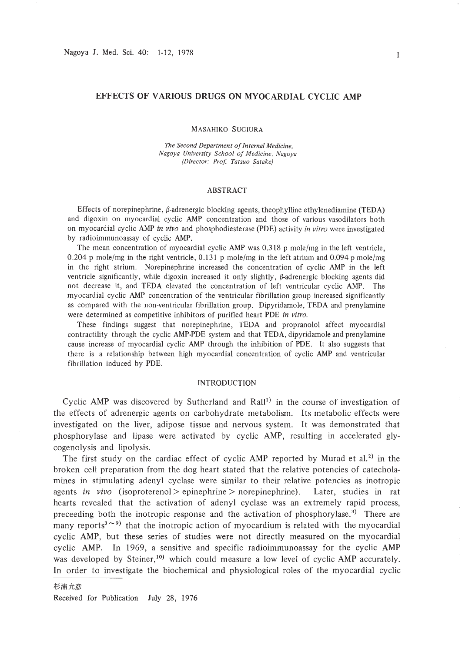### EFFECTS OF VARIOUS DRUGS ON MYOCARDIAL CYCLIC AMP

MASAHIKO SUGIURA

*The Second Department ofInternal Medicine. Nagoya University School of Medicine. Nagoya (Director: Prof Tatsuo Satake)*

### ABSTRACT

Effects of norepinephrine,  $\beta$ -adrenergic blocking agents, theophylline ethylenediamine (TEDA) and digoxin on myocardial cyclic AMP concentration and those of various vasodilators both on myocardial cyclic AMP *in vivo* and phosphodiesterase (PDE) activity *in vitro* were investigated by radioimmunoassay of cyclic AMP.

The mean concentration of myocardial cyclic AMP was 0.318 p mole/mg in the left ventricle, 0.204 p mole/mg in the right ventricle, 0.131 p mole/mg in the left atrium and 0.094 p mole/mg in the right atrium. Norepinephrine increased the concentration of cyclic AMP in the left ventricle significantly, while digoxin increased it only slightly,  $\beta$ -adrenergic blocking agents did not decrease it, and TEDA elevated the concentration of left ventricular cyclic AMP. The myocardial cyclic AMP concentration of the ventricular fibrillation group increased significantly as compared with the non-ventricular fibrillation group. Dipyridamole, TEDA and prenylamine were determined as competitive inhibitors of purified heart PDE *in vitro.*

These findings suggest that norepinephrine, TEDA and propranolol affect myocardial contractility through the cyclic AMP-PDE system and that TEDA, dipyridamole and prenylamine cause increase of myocardial cyclic AMP through the inhibition of PDE. It also suggests that there is a relationship between high myocardial concentration of cyclic AMP and ventricular fibrillation induced by PDE.

### INTRODUCTION

Cyclic AMP was discovered by Sutherland and Rall<sup>1)</sup> in the course of investigation of the effects of adrenergic agents on carbohydrate metabolism. Its metabolic effects were investigated on the liver, adipose tissue and nervous system. It was demonstrated that phosphorylase and lipase were activated by cyclic AMP, resulting in accelerated glycogenolysis and lipolysis.

The first study on the cardiac effect of cyclic AMP reported by Murad et al.<sup>2)</sup> in the broken cell preparation from the dog heart stated that the relative potencies of catecholamines in stimulating adenyl cyclase were similar to their relative potencies as inotropic agents *in vivo* (isoproterenol> epinephrine> norepinephrine). Later, studies in rat hearts revealed that the activation of adenyl cyclase was an extremely rapid process, preceeding both the inotropic response and the activation of phosphorylase.<sup>3</sup>) There are many reports<sup>3 $\sim$ 9)</sup> that the inotropic action of myocardium is related with the myocardial cyclic AMP, but these series of studies were not directly measured on the myocardial cyclic AMP. In 1969, a sensitive and specific radioimmunoassay for the cyclic AMP was developed by Steiner,<sup>10</sup>) which could measure a low level of cyclic AMP accurately. In order to investigate the biochemical and physiological roles of the myocardial cyclic

Received for Publication July 28, 1976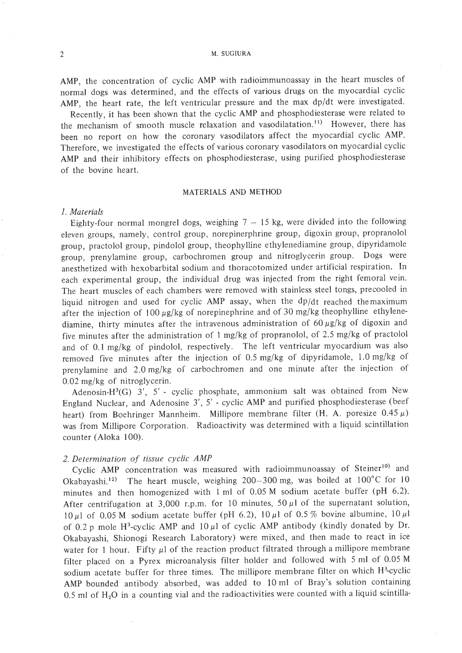2 M. SUGIURA

AMP, the concentration of cyclic AMP with radioimmunoassay in the heart muscles of normal dogs was determined, and the effects of various drugs on the myocardial cyclic AMP, the heart rate, the left ventricular pressure and the max dp/dt were investigated.

Recently, it has been shown that the cyclic AMP and phosphodiesterase were related to the mechanism of smooth muscle relaxation and vasodilatation.<sup>11)</sup> However, there has been no report on how the coronary vasodilators affect the myocardial cyclic AMP. Therefore, we investigated the effects of various coronary vasodilators on myocardial cyclic AMP and their inhibitory effects on phosphodiesterase, using purified phosphodiesterase of the bovine heart.

#### MATERIALS AND METHOD

#### *1. Materials*

Eighty-four normal mongrel dogs, weighing  $7 - 15$  kg, were divided into the following eleven groups, namely, control group, norepinerphrine group, digoxin group, propranolol group, practolol group, pindolol group, theophylline ethylenediamine group, dipyridamole group, prenylamine group, carbochromen group and nitroglycerin group. Dogs were anesthetized with hexobarbital sodium and thoracotomized under artificial respiration. In each experimental group, the individual drug was injected from the right femoral vein. The heart muscles of each chambers were removed with stainless steel tongs, precooled in liquid nitrogen and used for cyclic AMP assay, when the  $dp/dt$  reached the maximum after the injection of 100  $\mu$ g/kg of norepinephrine and of 30 mg/kg theophylline ethylenediamine, thirty minutes after the intravenous administration of  $60 \mu g/kg$  of digoxin and five minutes after the administration of I mg/kg of propranolol, of 2.5 mg/kg of practolol and of 0.1 mg/kg of pindolol, respectively. The left ventricular myocardium was also removed five minutes after the injection of 0.5 mg/kg of dipyridamole, 1.0 mg/kg of prenylamine and 2.0 mg/kg of carbochromen and one minute after the injection of 0.02 mg/kg of nitroglycerin.

Adenosin-H3 (G) 3', 5' - cyclic phosphate, ammonium salt was obtained from New England Nuclear, and Adenosine 3', 5' - cyclic AMP and purified phosphodiesterase (beef heart) from Boehringer Mannheim. Millipore membrane filter  $(H. A.$  poresize  $0.45 \mu$ ) was from Millipore Corporation. Radioactivity was determined with a liquid scintillation counter (Aloka 100).

#### *2. Determination of tissue cyclic AMP*

Cyclic AMP concentration was measured with radioimmunoassay of Steiner<sup>10)</sup> and Okabayashi.<sup>12)</sup> The heart muscle, weighing 200-300 mg, was boiled at  $100^{\circ}$ C for 10 minutes and then homogenized with I ml of 0.05 M sodium acetate buffer (pH 6.2). After centrifugation at 3,000 r.p.m. for 10 minutes, 50  $\mu$ 1 of the supernatant solution, 10  $\mu$ 1 of 0.05 M sodium acetate buffer (pH 6.2), 10  $\mu$ 1 of 0.5% bovine albumine, 10  $\mu$ 1 of 0.2 p mole H<sup>3</sup>-cyclic AMP and  $10 \mu l$  of cyclic AMP antibody (kindly donated by Dr. Okabayashi, Shionogi Research Laboratory) were mixed, and then made to react in ice water for 1 hour. Fifty  $\mu$ I of the reaction product filtrated through a millipore membrane filter placed on a Pyrex microanalysis filter holder and followed with 5 ml of 0.05 M sodium acetate buffer for three times. The millipore membrane filter on which  $H^3$ -cyclic AMP bounded antibody absorbed, was added to 10 ml of Bray's solution containing  $0.5$  ml of  $H<sub>2</sub>O$  in a counting vial and the radioactivities were counted with a liquid scintilla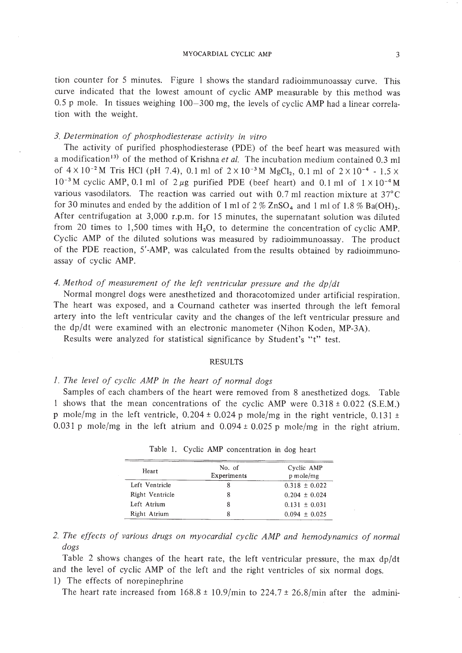tion counter for 5 minutes. Figure I shows the standard radioimmunoassay curve. This curve indicated that the lowest amount of cyclic AMP measurable by this method was 0.5 p mole. In tissues weighing 100-300 mg, the levels of cyclic AMP had a linear correlation with the weight.

#### *3. Determination of phosphodiesterase activity in vitro*

The activity of purified phosphodiesterase (PDE) of the beef heart was measured with a modification<sup>13)</sup> of the method of Krishna et al. The incubation medium contained 0.3 ml of  $4 \times 10^{-2}$  M Tris HCl (pH 7.4), 0.1 ml of  $2 \times 10^{-3}$  M MgCl<sub>2</sub>, 0.1 ml of  $2 \times 10^{-4}$  - 1.5  $\times$  $10^{-3}$ M cyclic AMP, 0.1 ml of  $2 \mu$ g purified PDE (beef heart) and 0.1 ml of  $1 \times 10^{-4}$ M various vasodilators. The reaction was carried out with 0.7 ml reaction mixture at 37°C for 30 minutes and ended by the addition of 1 ml of  $2\%$  ZnSO<sub>4</sub> and 1 ml of 1.8 % Ba(OH)<sub>2</sub>. After centrifugation at 3,000 r.p.m. for 15 minutes, the supernatant solution was diluted from 20 times to 1,500 times with  $H_2O$ , to determine the concentration of cyclic AMP. Cyclic AMP of the diluted solutions was measured by radioimmunoassay. The product of the PDE reaction, 5'-AMP, was calculated from the results obtained by radioimmunoassay of cyclic AMP.

# *4. Method of measurement of the left ventricular pressure and the dp/dt*

Normal mongrel dogs were anesthetized and thoracotomized under artificial respiration. The heart was exposed, and a Cournand catheter was inserted through the left femoral artery into the left ventricular cavity and the changes of the left ventricular pressure and the dp/dt were examined with an electronic manometer (Nihon Koden, MP-3A).

Results were analyzed for statistical significance by Student's "t" test.

### RESULTS

# *1. The level of cyclic AMP in the heart of normal dogs*

Samples of each chambers of the heart were removed from 8 anesthetized dogs. Table 1 shows that the mean concentrations of the cyclic AMP were  $0.318 \pm 0.022$  (S.E.M.) p mole/mg in the left ventricle,  $0.204 \pm 0.024$  p mole/mg in the right ventricle,  $0.131 \pm 1.00$ 0.031 p mole/mg in the left atrium and  $0.094 \pm 0.025$  p mole/mg in the right atrium.

| Heart           | No. of<br>Experiments | Cyclic AMP<br>p mole/mg |
|-----------------|-----------------------|-------------------------|
| Left Ventricle  | 8                     | $0.318 \pm 0.022$       |
| Right Ventricle |                       | $0.204 \pm 0.024$       |
| Left Atrium     |                       | $0.131 \pm 0.031$       |
| Right Atrium    |                       | $0.094 \pm 0.025$       |

|  |  |  |  | Table 1. Cyclic AMP concentration in dog heart |  |  |  |
|--|--|--|--|------------------------------------------------|--|--|--|
|--|--|--|--|------------------------------------------------|--|--|--|

Table 2 shows changes of the heart rate, the left ventricular pressure, the max dp/dt and the level of cyclic AMP of the left and the right ventricles of six normal dogs. I) The effects of norepinephrine

The heart rate increased from  $168.8 \pm 10.9$ /min to  $224.7 \pm 26.8$ /min after the admini-

*<sup>2.</sup> The effects of various drugs on myocardial cyclic AMP and hemodynamics of normal dogs*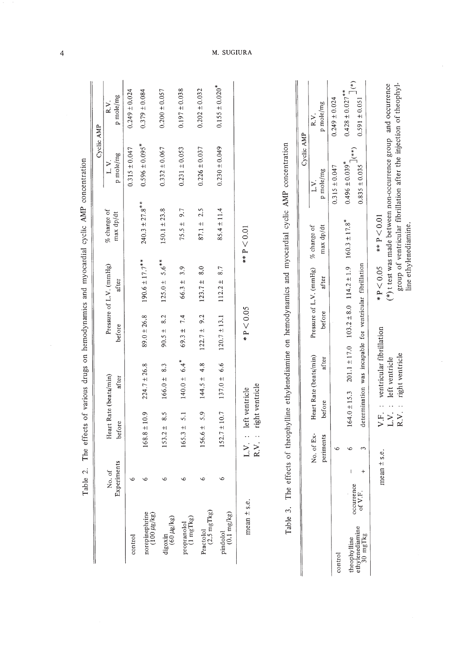|                                             |                                         |                         |                                   |                                                                              |                    |                                                               |                                                 |                                                                                                                                           | Cyclic AMP                                                               |
|---------------------------------------------|-----------------------------------------|-------------------------|-----------------------------------|------------------------------------------------------------------------------|--------------------|---------------------------------------------------------------|-------------------------------------------------|-------------------------------------------------------------------------------------------------------------------------------------------|--------------------------------------------------------------------------|
|                                             | Experiments<br>of.<br>ż                 | before                  |                                   | Heart Rate (beats/min)<br>after                                              | before             | Pressure of L.V. (mmHg)<br>after                              | % change of<br>$\max$ $\mathrm{d}p/\mathrm{d}t$ | p mole/mg<br>$\geq$                                                                                                                       | p mole/mg<br>R.V.                                                        |
| control                                     |                                         |                         |                                   |                                                                              |                    |                                                               |                                                 | $0.315 \pm 0.047$                                                                                                                         | $0.249 \pm 0.024$                                                        |
| norepinephrine<br>(100 µg/kg)               |                                         | $168.8 \pm 10.9$        |                                   | $224.7 \pm 26.8$                                                             | $89.0 \pm 26.8$    | $190.6 \pm 17.7$ **                                           | $240.3 \pm 27.8$ **                             | $0.596 \pm 0.095$ <sup>*</sup>                                                                                                            | $0.379 \pm 0.084$                                                        |
| ${\rm digoxin} \atop (60~\mu{\rm g/kg})$    |                                         | $153.2 \pm$             | 8.5                               | 8.3<br>$166.0 \pm$                                                           | 8.2<br>$90.5 +$    | $5.6***$<br>$125.0 \pm$                                       | $150.1 \pm 23.8$                                | $0.332 \pm 0.067$                                                                                                                         | $0.200 \pm 0.057$                                                        |
| propranolol<br>(1 mgTkg)                    |                                         | $165.3 \pm$             | 5.1                               | $6.4$ <sup>*</sup><br>$140.0 \pm$                                            | 7.4<br>$69.3 \pm$  | 3.9<br>$66.3 \pm$                                             | 9.7<br>$75.5 \pm$                               | $0.231 \pm 0.053$                                                                                                                         | $0.197 \pm 0.038$                                                        |
| Practolol<br>(2.5 mgTkg)                    |                                         | 156.6 ±                 | 5.9                               | 4.8<br>$144.5 \pm$                                                           | 9.2<br>$122.7 \pm$ | 8.0<br>$123.7 \pm$                                            | 2.5<br>$87.1 \pm$                               | $0.226 \pm 0.037$                                                                                                                         | $0.202 \pm 0.032$                                                        |
| $(0.1 \, \text{mg/kg})$<br>pindolol         |                                         | $152.7 \pm 10.7$        |                                   | 6.6<br>$137.0 \pm$                                                           | $120.7 \pm 13.1$   | 8.7<br>$112.2 \pm$                                            | $85.4 \pm 11.4$                                 | $0.230 \pm 0.049$                                                                                                                         | $0.155 \pm 0.020$ <sup>*</sup>                                           |
| Table                                       | $\circ$<br>The<br>$mean \pm s.e.$<br>3. | L.V.<br>R.V.            | right ventricle<br>left ventricle |                                                                              | $*P < 0.05$        |                                                               | ** $P < 0.01$                                   | ffects of theophylline ethylenediamine on hemodynamics and myocardial cyclic AMP concentration                                            |                                                                          |
|                                             |                                         |                         |                                   |                                                                              |                    |                                                               |                                                 | Cyclic AMP                                                                                                                                |                                                                          |
|                                             |                                         | No. of Ex-<br>periments | before                            | Heart Rate (beats/min)<br>after                                              | before             | Pressure of L.V. (mmHg)<br>after                              | % change of<br>max dp/dt                        | p mole/mg<br>ΣY.                                                                                                                          | p mole/mg<br>R.V.                                                        |
| control                                     |                                         | $\circ$                 |                                   |                                                                              |                    |                                                               |                                                 | $0.315 \pm 0.047$                                                                                                                         | $0.249 \pm 0.024$                                                        |
| ethylenediamine<br>30 mgTkg<br>theophylline | $^{+}$<br>occurrence<br>of V.F.         | $\circ$<br>3            | $164.0 \pm 15.3$                  | determination was incapable for ventricular fibrillation<br>$201.1 \pm 17.0$ |                    | $103.2 \pm 8.0$ $114.2 \pm 1.9$ $160.3 \pm 17.8$ <sup>*</sup> |                                                 | $(*)$<br>$0.496 \pm 0.039$ <sup>*</sup><br>$0.835 \pm 0.035$                                                                              | $\sum_{i=1}^{n}$<br>$0.428 \pm 0.027$ <sup>**</sup><br>$0.591 \pm 0.051$ |
|                                             |                                         | mean $\pm$ s.e.         | R.V.<br>LV.<br>F.<br>>            | ventricular fibrillation<br>right ventricle<br>left ventricle                |                    | $*P < 0.05$                                                   | ** $P < 0.01$<br>line ethylenediamine.          | ( $*$ ) t test was made between non-occurrence group and occurrence<br>group of ventricular fibrillation after the injection of theophyl- |                                                                          |

.j:>.

#### :UGIURA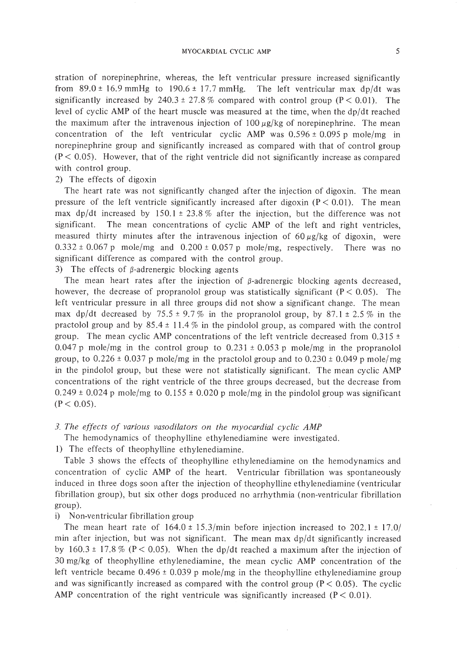stration of norepinephrine, whereas, the left ventricular pressure increased significantly from  $89.0 \pm 16.9$  mmHg to  $190.6 \pm 17.7$  mmHg. The left ventricular max dp/dt was significantly increased by 240.3  $\pm$  27.8 % compared with control group (P < 0.01). The level of cyclic AMP of the heart muscle was measured at the time, when the dp/dt reached the maximum after the intravenous injection of  $100 \mu g/kg$  of norepinephrine. The mean concentration of the left ventricular cyclic AMP was  $0.596 \pm 0.095$  p mole/mg in norepinephrine group and significantly increased as compared with that of control group  $(P < 0.05)$ . However, that of the right ventricle did not significantly increase as compared with control group.

## 2) The effects of digoxin

The heart rate was not significantly changed after the injection of digoxin. The mean pressure of the left ventricle significantly increased after digoxin  $(P < 0.01)$ . The mean max dp/dt increased by  $150.1 \pm 23.8\%$  after the injection, but the difference was not significant. The mean concentrations of cyclic AMP of the left and right ventricles, measured thirty minutes after the intravenous injection of  $60 \mu g/kg$  of digoxin, were  $0.332 \pm 0.067$  p mole/mg and  $0.200 \pm 0.057$  p mole/mg, respectively. There was no significant difference as compared with the control group.

3) The effects of  $\beta$ -adrenergic blocking agents

The mean heart rates after the injection of  $\beta$ -adrenergic blocking agents decreased, however, the decrease of propranolol group was statistically significant ( $P < 0.05$ ). The left ventricular pressure in all three groups did not show a significant change. The mean max dp/dt decreased by 75.5  $\pm$  9.7% in the propranolol group, by 87.1  $\pm$  2.5% in the practolol group and by  $85.4 \pm 11.4 \%$  in the pindolol group, as compared with the control group. The mean cyclic AMP concentrations of the left ventricle decreased from  $0.315 \pm$ 0.047 p mole/mg in the control group to  $0.231 \pm 0.053$  p mole/mg in the propranolol group, to  $0.226 \pm 0.037$  p mole/mg in the practolol group and to  $0.230 \pm 0.049$  p mole/mg in the pindolol group, but these were not statistically significant. The mean cyclic AMP concentrations of the right ventricle of the three groups decreased, but the decrease from 0.249  $\pm$  0.024 p mole/mg to 0.155  $\pm$  0.020 p mole/mg in the pindolol group was significant  $(P < 0.05)$ .

### *3. The effects of various vasodilators on the myocardial cyclic AMP*

The hemodynamics of theophylline ethylenediamine were investigated.

1) The effects of theophylline ethylenediamine.

Table 3 shows the effects of theophylline ethylenediamine on the hemodynamics and concentration of cyclic AMP of the heart. Ventricular fibrillation was spontaneously induced in three dogs soon after the injection of theophylline ethylenediamine (ventricular fibrillation group), but six other dogs produced no arrhythmia (non-ventricular fibrillation group).

#### i) Non-ventricular fibrillation group

The mean heart rate of  $164.0 \pm 15.3$ /min before injection increased to  $202.1 \pm 17.0$ / min after injection, but was not significant. The mean max  $dp/dt$  significantly increased by  $160.3 \pm 17.8\%$  (P < 0.05). When the dp/dt reached a maximum after the injection of 30 mg/kg of theophylline ethylenediamine, the mean cyclic AMP concentration of the left ventricle became  $0.496 \pm 0.039$  p mole/mg in the theophylline ethylenediamine group and was significantly increased as compared with the control group ( $P < 0.05$ ). The cyclic AMP concentration of the right ventricule was significantly increased  $(P < 0.01)$ .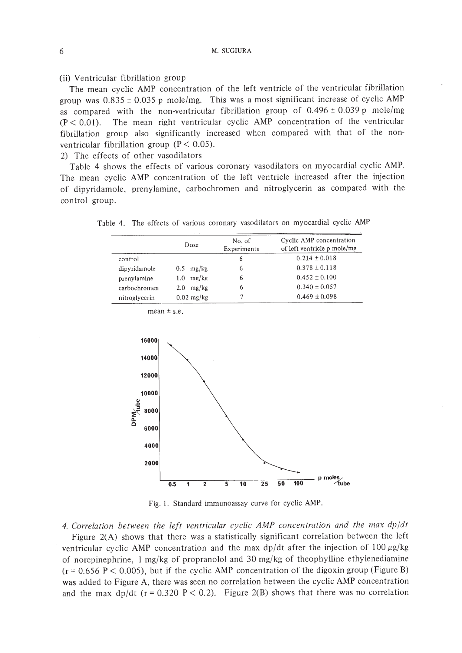### (ij) Ventricular fibrillation group

The mean cyclic AMP concentration of the left ventricle of the ventricular fibrillation group was  $0.835 \pm 0.035$  p mole/mg. This was a most significant increase of cyclic AMP as compared with the non-ventricular fibrillation group of  $0.496 \pm 0.039$  p mole/mg  $(P < 0.01)$ . The mean right ventricular cyclic AMP concentration of the ventricular fibrillation group also significantly increased when compared with that of the nonventricular fibrillation group ( $P < 0.05$ ).

2) The effects of other vasodilators

Table 4 shows the effects of various coronary vasodilators on myocardial cyclic AMP. The mean cyclic AMP concentration of the left ventricle increased after the injection of dipyridamole, prenylamine, carbochromen and nitroglycerin as compared with the control group.

|  |  |  |  |  |  | Table 4. The effects of various coronary vasodilators on myocardial cyclic AMP |  |  |  |  |  |
|--|--|--|--|--|--|--------------------------------------------------------------------------------|--|--|--|--|--|
|--|--|--|--|--|--|--------------------------------------------------------------------------------|--|--|--|--|--|

|               | Dose                      | No. of<br>Experiments | Cyclic AMP concentration<br>of left ventricle p mole/mg |
|---------------|---------------------------|-----------------------|---------------------------------------------------------|
| control       |                           | 6                     | $0.214 \pm 0.018$                                       |
| dipyridamole  | $0.5$ mg/kg               | 6                     | $0.378 \pm 0.118$                                       |
| prenylamine   | mg/kg<br>1.0 <sub>1</sub> | 6                     | $0.452 \pm 0.100$                                       |
| carbochromen  | mg/kg<br>2.0              | 6                     | $0.340 \pm 0.057$                                       |
| nitroglycerin | $0.02$ mg/kg              |                       | $0.469 \pm 0.098$                                       |

mean  $\pm$  s.e.



Fig. 1. Standard immunoassay curve for cyclic AMP.

*4. Correlation between the left ventricular cyclic AMP concentration and the max dp/dt* Figure 2(A) shows that there was a statistically significant correlation between the left ventricular cyclic AMP concentration and the max dp/dt after the injection of  $100 \mu g/kg$ of norepinephrine, I mg/kg of propranolol and 30 mg/kg of theophylline ethylenediamine  $(r = 0.656 \text{ P} < 0.005)$ , but if the cyclic AMP concentration of the digoxin group (Figure B) was added to Figure A, there was seen no correlation between the cyclic AMP concentration and the max dp/dt ( $r = 0.320$  P < 0.2). Figure 2(B) shows that there was no correlation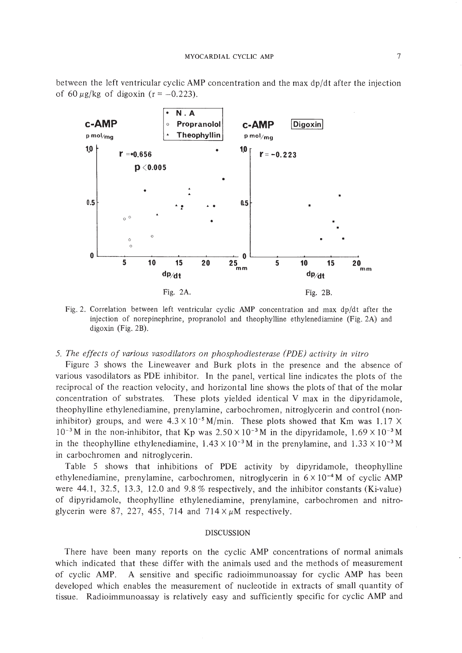between the left ventricular cyclic AMP concentration and the max dp/dt after the injection of 60  $\mu$ g/kg of digoxin (r = -0.223).



Fig. 2. Correlation between left ventricular cyclic AMP concentration and max dp/dt after the injection of norepinephrine, propranolol and theophylline ethylenediamine (Fig.2A) and digoxin (Fig. 2B).

### *5. The effects of various vasodilators on phosphodiesterase (PDE) activity in vitro*

Figure 3 shows the Lineweaver and Burk plots in the presence and the absence of various vasodilators as PDE inhibitor. In the panel, vertical line indicates the plots of the reciprocal of the reaction velocity, and horizon tal line shows the plots of that of the molar concentration of substrates. These plots yielded identical V max in the dipyridamole, theophylline ethylenediamine, prenylamine, carbochromen, nitroglycerin and control (noninhibitor) groups, and were  $4.3 \times 10^{-5}$  M/min. These plots showed that Km was 1.17 X  $10^{-3}$  M in the non-inhibitor, that Kp was  $2.50 \times 10^{-3}$  M in the dipyridamole,  $1.69 \times 10^{-3}$  M in the theophylline ethylenediamine,  $1.43 \times 10^{-3}$  M in the prenylamine, and  $1.33 \times 10^{-3}$  M in carbochromen and nitroglycerin.

Table 5 shows that inhibitions of PDE activity by dipyridamole, theophylline ethylenediamine, prenylamine, carbochromen, nitroglycerin in  $6 \times 10^{-4}$ M of cyclic AMP were 44.1, 32.5, 13.3, 12.0 and 9.8 % respectively, and the inhibitor constants (Ki-value) of dipyridamole, theophylline ethylenediamine, prenylamine, carbochromen and nitroglycerin were 87, 227, 455, 714 and  $714 \times \mu M$  respectively.

#### DISCUSSION

There have been many reports on the cyclic AMP concentrations of normal animals which indicated that these differ with the animals used and the methods of measurement of cyclic AMP. A sensitive and specific radioimmunoassay for cyclic AMP has been developed which enables the measurement of nucleotide in extracts of small quantity of tissue. Radioimmunoassay is relatively easy and sufficiently specific for cyclic AMP and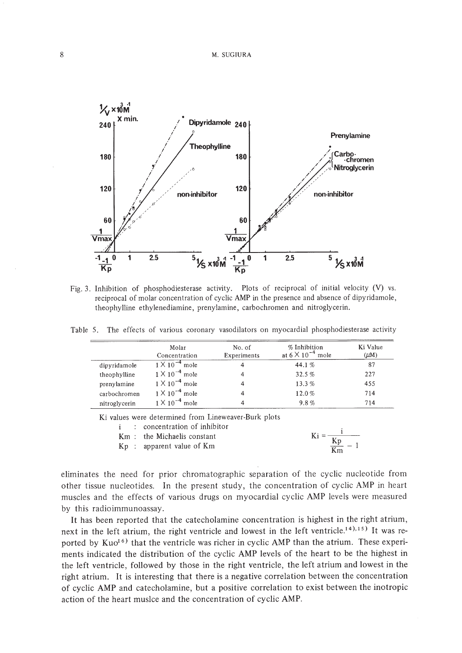

Fig. 3. Inhibition of phosphodiesterase activity. Plots of reciprocal of initial velocity (V) vs. reciprocal of molar concentration of cyclic AMP in the presence and absence of dipyridamole, theophylline ethylenediamine, prenylamine, carbochromen and nitroglycerin.

Table 5. The effects of various coronary vasodilators on myocardial phosphodiesterase activity

|               | Molar<br>Concentration  | No. of<br>Experiments | % Inhibition<br>at $6 \times 10^{-4}$ mole | Ki Value<br>$(\mu M)$ |
|---------------|-------------------------|-----------------------|--------------------------------------------|-----------------------|
| dipyridamole  | $1 \times 10^{-4}$ mole |                       | 44.1%                                      | 87                    |
| theophylline  | $1 \times 10^{-4}$ mole | 4                     | 32.5%                                      | 227                   |
| prenylamine   | $1 \times 10^{-4}$ mole |                       | 13.3%                                      | 455                   |
| carbochromen  | $1 \times 10^{-4}$ mole | 4                     | 12.0%                                      | 714                   |
| nitroglycerin | $1 \times 10^{-4}$ mole |                       | 9.8%                                       | 714                   |

Ki values were determined from Lineweaver·Burk plots

i concentration of inhibitor

Km : the Michaelis constant  $Kp$ : apparent value of  $Km$ 

$$
Ki = \frac{i}{\frac{Kp}{Km} - 1}
$$

eliminates the need for prior chromatographic separation of the cyclic nucleotide from other tissue nucleotides. In the present study, the concentration of cyclic AMP in heart muscles and the effects of various drugs on myocardial cyclic AMP levels were measured by this radioimmunoassay.

It has been reported that the catecholamine concentration is highest in the right atrium, next in the left atrium, the right ventricle and lowest in the left ventricle.<sup>14</sup>,15) It was reported by Kuo<sup>16)</sup> that the ventricle was richer in cyclic AMP than the atrium. These experiments indicated the distribution of the cyclic AMP levels of the heart to be the highest in the left ventricle, followed by those in the right ventricle, the left atrium and lowest in the right atrium. It is interesting that there is a negative correlation between the concentration of cyclic AMP and catecholamine, but a positive correlation to exist between the inotropic action of the heart muslce and the concentration of cyclic AMP.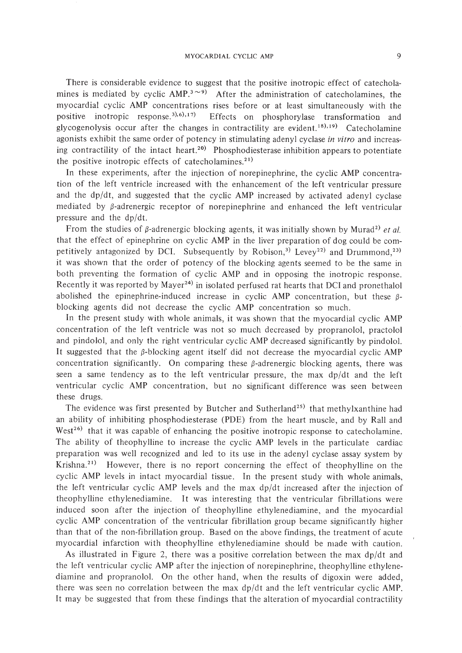There is considerable evidence to suggest that the positive inotropic effect of catecholamines is mediated by cyclic  $\text{AMP.}^{3\sim 9)}$  After the administration of catecholamines, the myocardial cyclic AMP concentrations rises before or at least simultaneously with the positive inotropic response.<sup>3),6),17)</sup> Effects on phosphorylase transformation and glycogenolysis occur after the changes in contractility are evident.<sup>18),19)</sup> Catecholamine agonists exhibit the same order of potency in stimulating adenyl cyclase *in vitro* and increasing contractility of the intact heart.<sup>20)</sup> Phosphodiesterase inhibition appears to potentiate the positive inotropic effects of catecholamines.<sup>21)</sup>

In these experiments, after the injection of norepinephrine, the cyclic AMP concentration of the left ventricle increased with the enhancement of the left ventricular pressure and the  $dp/dt$ , and suggested that the cyclic AMP increased by activated adenyl cyclase mediated by  $\beta$ -adrenergic receptor of norepinephrine and enhanced the left ventricular pressure and the dp/dt.

From the studies of  $\beta$ -adrenergic blocking agents, it was initially shown by Murad<sup>2)</sup> *et al.* that the effect of epinephrine on cyclic AMP in the liver preparation of dog could be competitively antagonized by DCI. Subsequently by Robison,<sup>3)</sup> Levey<sup>22)</sup> and Drummond,<sup>23)</sup> it was shown that the order of potency of the blocking agents seemed to be the same in both preventing the formation of cyclic AMP and in opposing the inotropic response. Recently it was reported by Mayer<sup>24)</sup> in isolated perfused rat hearts that DCI and pronethalol abolished the epinephrine-induced increase in cyclic AMP concentration, but these  $\beta$ blocking agents did not decrease the cyclic AMP concentration so much.

In the present study with whole animals, it was shown that the myocardial cyclic AMP concentration of the left ventricle was not so much decreased by propranolol, practolol and pindolol, and only the right ventricular cyclic AMP decreased significantly by pindolol. It suggested that the  $\beta$ -blocking agent itself did not decrease the myocardial cyclic AMP concentration significantly. On comparing these  $\beta$ -adrenergic blocking agents, there was seen a same tendency as to the left ventricular pressure, the max  $dp/dt$  and the left ventricular cyclic AMP concentration, but no significant difference was seen between these drugs.

The evidence was first presented by Butcher and Sutherland<sup>25)</sup> that methylxanthine had an ability of inhibiting phosphodiesterase (PDE) from the heart muscle, and by Rail and West<sup>26</sup> that it was capable of enhancing the positive inotropic response to catecholamine. The ability of theophylline to increase the cyclic AMP levels in the particulate cardiac preparation was well recognized and led to its use in the adenyl cyclase assay system by Krishna.<sup>21</sup> However, there is no report concerning the effect of theophylline on the cyclic AMP levels in intact myocardial tissue. In the present study with whole animals, the left ventricular cyclic AMP levels and the max  $dp/dt$  increased after the injection of theophylline ethylenediamine. It was interesting that the ventricular fibrillations were induced soon after the injection of theophylline ethylenediamine, and the myocardial cyclic AMP concentration of the ventricular fibrillation group became significantly higher than that of the non-fibrillation group. Based on the above findings, the treatment of acute myocardial infarction with theophylline ethylenediamine should be made with caution.

As illustrated in Figure 2, there was a positive correlation between the max  $dp/dt$  and the left ventricular cyclic AMP after the injection of norepinephrine, theophylline ethylenediamine and propranolol. On the other hand, when the results of digoxin were added, there was seen no correlation between the max dp/dt and the left ventricular cyclic AMP. It may be suggested that from these findings that the alteration of myocardial contractility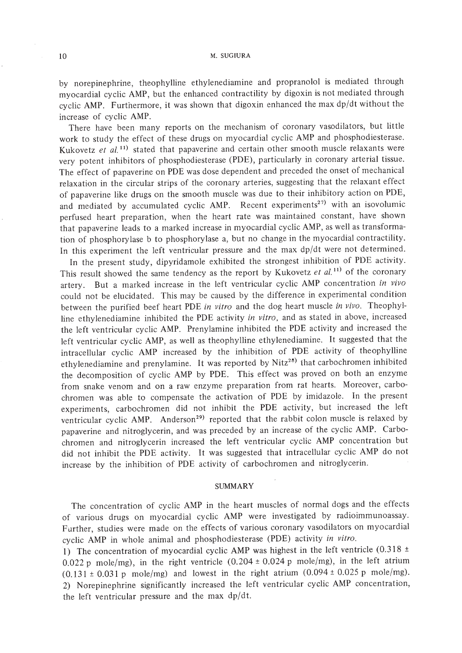by norepinephrine, theophylline ethylenediamine and propranolol is mediated through myocardial cyclic AMP, but the enhanced contractility by digoxin is not mediated through cyclic AMP. Furthermore, it was shown that digoxin enhanced the max dp/dt without the increase of cyclic AMP.

There have been many reports on the mechanism of coronary vasodilators, but little work to study the effect of these drugs on myocardial cyclic AMP and phosphodiesterase. Kukovetz et al.<sup>11)</sup> stated that papaverine and certain other smooth muscle relaxants were very potent inhibitors of phosphodiesterase (POE), particularly in coronary arterial tissue. The effect of papaverine on POE was dose dependent and preceded the onset of mechanical relaxation in the circular strips of the coronary arteries, suggesting that the relaxant effect of papaverine like drugs on the smooth muscle was due to their inhibitory action on POE, and mediated by accumulated cyclic AMP. Recent experiments<sup>27)</sup> with an isovolumic perfused heart preparation, when the heart rate was maintained constant, have shown that papaverine leads to a marked increase in myocardial cyclic AMP, as well as transformation of phosphorylase b to phosphorylase a, but no change in the myocardial contractility. In this experiment the left ventricular pressure and the max dp/dt were not determined.

In the present study, dipyridamole exhibited the strongest inhibition of POE activity. This result showed the same tendency as the report by Kukovetz et al.<sup>11)</sup> of the coronary artery. But a marked increase in the left ventricular cyclic AMP concentration *in vivo* could not be elucidated. This may be caused by the difference in experimental condition between the purified beef heart POE *in vitro* and the dog heart muscle *in vivo.* Theophylline ethylenediamine inhibited the POE activity *in vitro,* and as stated in above, increased the left ventricular cyclic AMP. Prenylamine inhibited the POE activity and increased the left ventricular cyclic AMP, as well as theophylline ethylenediamine. It suggested that the intracellular cyclic AMP increased by the inhibition of POE activity of theophylline ethylenediamine and prenylamine. It was reported by Nitz<sup>28)</sup> that carbochromen inhibited the decomposition of cyclic AMP by POE. This effect was proved on both an enzyme from snake venom and on a raw enzyme preparation from rat hearts. Moreover, carbochromen was able to compensate the activation of POE by imidazole. In the present experiments, carbochromen did not inhibit the POE activity, but increased the left ventricular cyclic AMP. Anderson<sup>29</sup> reported that the rabbit colon muscle is relaxed by papaverine and nitroglycerin, and was preceded by an increase of the cyclic AMP. Carbochromen and nitroglycerin increased the left ventricular cyclic AMP concentration but did not inhibit the POE activity. It was suggested that intracellular cyclic AMP do not increase by the inhibition of POE activity of carbochromen and nitroglycerin.

### SUMMARY

The concentration of cyclic AMP in the heart muscles of normal dogs and the effects of various drugs on myocardial cyclic AMP were investigated by radioimmunoassay. Further, studies were made on the effects of various coronary vasodilators on myocardial cyclic AMP in whole animal and phosphodiesterase (POE) activity *in vitro.*

1) The concentration of myocardial cyclic AMP was highest in the left ventricle  $(0.318 \pm$ 0.022 p mole/mg), in the right ventricle  $(0.204 \pm 0.024 \text{ p}$  mole/mg), in the left atrium  $(0.131 \pm 0.031 \text{ p}$  mole/mg) and lowest in the right atrium  $(0.094 \pm 0.025 \text{ p}$  mole/mg). 2) Norepinephrine significantly increased the left ventricular cyclic AMP concentration, the left ventricular pressure and the max dp/dt.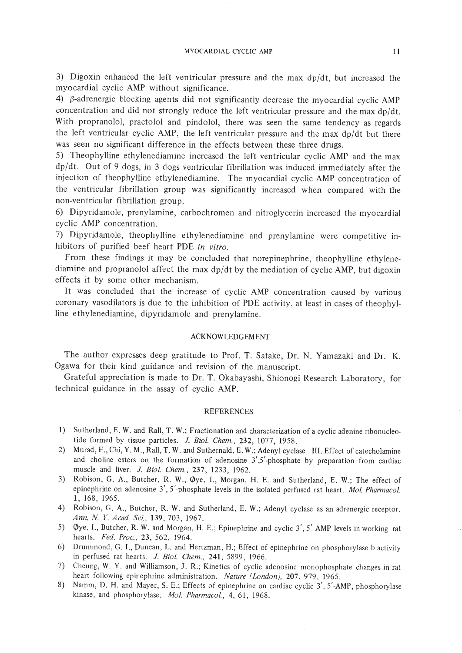3) Digoxin enhanced the left ventricular pressure and the max dp/dt, but increased the myocardial cyclic AMP without significance.

4)  $\beta$ -adrenergic blocking agents did not significantly decrease the myocardial cyclic AMP concentration and did not strongly reduce the left ventricular pressure and the max dp/dt. With propranolol, practolol and pindolol, there was seen the same tendency as regards the left ventricular cyclic AMP, the left ventricular pressure and the max dp/dt but there was seen no significant difference in the effects between these three drugs.

5) Theophylline ethylenediamine increased the left ventricular cyclic AMP and the max dp/dt. Out of 9 dogs, in 3 dogs ventricular fibrillation was induced immediately after the injection of theophylline ethylenediamine. The myocardial cyclic AMP concentration of the ventricular fibrillation group was significantly increased when compared with the non-ventricular fibrillation group.

6) Dipyridamole, prenylamine, carbochromen and nitroglycerin increased the myocardial cyclic AMP concentration.

7) Dipyridamole, theophylline ethylenediamine and prenylamine were competitive inhibitors of purified beef heart POE *in vitro.*

From these findings it may be concluded that norepinephrine, theophylline ethylenediamine and propranolol affect the max dp/dt by the mediation of cyclic AMP, but digoxin effects it by some other mechanism.

It was concluded that the increase of cyclic AMP concentration caused by various coronary vasodilators is due to the inhibition of POE activity, at least in cases of theophylline ethylenediamine, dipyridamole and prenylamine.

#### ACKNOWLEDGEMENT

The author expresses deep gratitude to Prof. T. Satake, Dr. N. Yamazaki and Dr. K. Ogawa for their kind guidance and revision of the manuscript.

Grateful appreciation is made to Dr. T. Okabayashi, Shionogi Research Laboratory, for technical guidance in the assay of cyclic AMP.

#### REFERENCES

- 1) Sutherland, E. W. and Rall, T. W.; Fractionation and characterization of a cyclic adenine ribonucleotide formed by tissue particles. J. *BioI. Chern.,* 232, I077, 1958.
- 2) Murad, F., Chi, Y. M., Rall, T. W. and Suthernald, E. W.; Adenyl cyclase III. Effect of catecholamine and choline esters on the formation of adenosine  $3'$ ,  $5'$ -phosphate by preparation from cardiac muscle and liver. J. *BioI. Chern.,* 237, 1233, 1962.
- 3) Robison, G. A., Butcher, R. W., Øye, I., Morgan, H. E. and Sutherland, E. W.; The effect of epinephrine on adenosine 3', 5'-phosphate levels in the isolated perfused rat heart. Mol. Pharmacol. 1, 168, 1965.
- 4) Robison, G. A., Butcher, R. W. and Sutherland, E. W.; Adenyl cyclase as an adrenergic receptor. *Ann. N. Y. Acad. Sci.,* 139,703,1967.
- 5) Øye, I., Butcher, R. W. and Morgan, H. E.; Epinephrine and cyclic 3', 5' AMP levels in working rat hearts. *Fed.* Proc., 23, 562, 1964.
- 6) Drummond, G. I., Duncan, L. and Hertzman, H.; Effect of epinephrine on phosphorylase b activity in perfused rat hearts. J. *BioI. Chern.,* 241,5899, 1966.
- 7) Cheung, W. Y. and Williamson, J. R.; Kinetics of cyclic adenosine monophosphate changes in rat heart following epinephrine administration. *Nature (London)*, 207, 979, 1965.
- 8) Namm, D. H. and Mayer, S. E.; Effects of epinephrine on cardiac cyclic 3', 5'-AMP, phosphorylase kinase, and phosphorylase. Mol. Pharmacol., 4, 61, 1968.